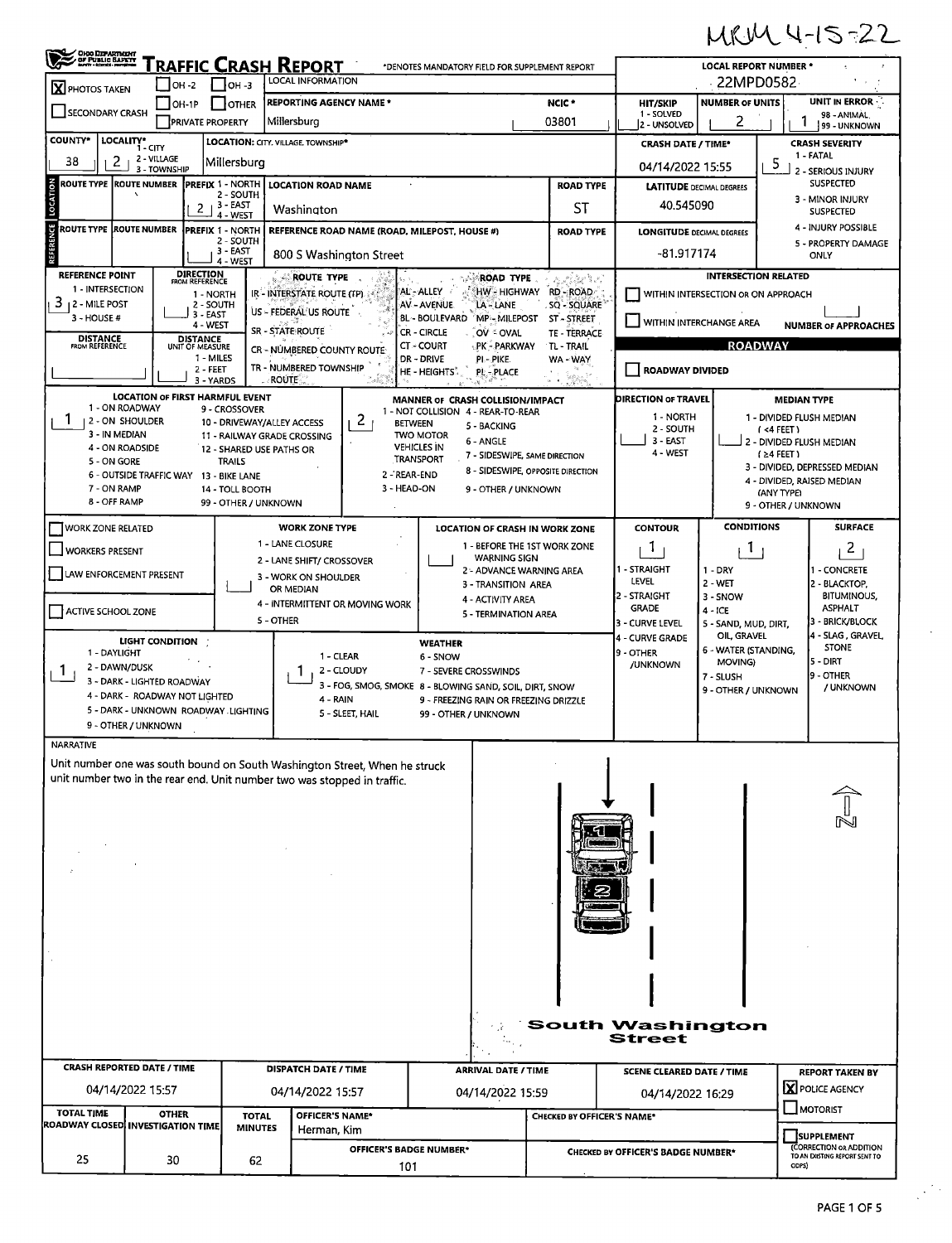## MRM 4-15-22

| OHOO DEPARTMENT                                                                                    |                                                                          |                                                         | RAFFIC CRASH REPORT                                  | *DENOTES MANDATORY FIELD FOR SUPPLEMENT REPORT                             |                                                          |                                                                                                                  |                                    | <b>LOCAL REPORT NUMBER *</b>        |                                                                              |  |  |  |
|----------------------------------------------------------------------------------------------------|--------------------------------------------------------------------------|---------------------------------------------------------|------------------------------------------------------|----------------------------------------------------------------------------|----------------------------------------------------------|------------------------------------------------------------------------------------------------------------------|------------------------------------|-------------------------------------|------------------------------------------------------------------------------|--|--|--|
| LOCAL INFORMATION<br>   он -з<br>$IOH -2$<br>$\overline{\mathbf{X}}$ PHOTOS TAKEN                  |                                                                          |                                                         |                                                      |                                                                            |                                                          |                                                                                                                  | 22MPD0582                          |                                     |                                                                              |  |  |  |
| <b>REPORTING AGENCY NAME *</b><br>$\Box$ OH-1P<br>$\blacksquare$ $\blacksquare$<br>SECONDARY CRASH |                                                                          |                                                         |                                                      |                                                                            |                                                          | NCIC <sup>*</sup>                                                                                                | HIT/SKIP<br>1 - SOLVED             | <b>NUMBER OF UNITS</b>              | UNIT IN ERROR<br>98 - ANIMAL,                                                |  |  |  |
|                                                                                                    | <b>PRIVATE PROPERTY</b>                                                  |                                                         | Millersburg                                          |                                                                            |                                                          | 03801                                                                                                            | 2 - UNSOLVED                       | 2                                   | 99 - UNKNOWN                                                                 |  |  |  |
| COUNTY*                                                                                            | LOCALITY*<br>1 - CITY<br>2 - VILLAGE                                     |                                                         | LOCATION: CITY. VILLAGE. TOWNSHIP*                   |                                                                            |                                                          |                                                                                                                  | <b>CRASH DATE / TIME*</b>          |                                     | <b>CRASH SEVERITY</b><br>1 - FATAL                                           |  |  |  |
| 38<br>2                                                                                            | 3 - TOWNSHIP                                                             | Millersburg                                             |                                                      |                                                                            |                                                          |                                                                                                                  | 04/14/2022 15:55                   |                                     | 5<br>2 - SERIOUS INJURY                                                      |  |  |  |
| LOCATION<br><b>ROUTE TYPE ROUTE NUMBER</b>                                                         |                                                                          | <b>PREFIX 1 - NORTH</b><br>2 - SOUTH                    | <b>LOCATION ROAD NAME</b>                            |                                                                            |                                                          | <b>ROAD TYPE</b>                                                                                                 | <b>LATITUDE DECIMAL DEGREES</b>    |                                     | <b>SUSPECTED</b><br>3 - MINOR INJURY                                         |  |  |  |
|                                                                                                    |                                                                          | $2 + 3 - EAST$<br>4 - WEST                              | Washington                                           |                                                                            |                                                          | ST                                                                                                               | 40.545090                          |                                     | <b>SUSPECTED</b>                                                             |  |  |  |
| REFERENCE<br><b>ROUTE TYPE ROUTE NUMBER</b>                                                        |                                                                          | <b>PREFIX 1 - NORTH</b><br>2 - SOUTH                    |                                                      | REFERENCE ROAD NAME (ROAD, MILEPOST, HOUSE #)                              |                                                          | <b>ROAD TYPE</b>                                                                                                 | <b>LONGITUDE DECIMAL DEGREES</b>   |                                     | 4 - INJURY POSSIBLE<br>5 - PROPERTY DAMAGE                                   |  |  |  |
|                                                                                                    |                                                                          | , 3 - EAST<br>4 - WEST                                  | 800 S Washington Street                              |                                                                            |                                                          |                                                                                                                  | -81.917174                         |                                     | <b>ONLY</b>                                                                  |  |  |  |
| <b>REFERENCE POINT</b>                                                                             | <b>DIRECTION</b><br>FROM REFERENCE                                       |                                                         | ROUTE TYPE                                           |                                                                            | <b>ROAD TYPE</b>                                         | w Polanikus)                                                                                                     |                                    | <b>INTERSECTION RELATED</b>         |                                                                              |  |  |  |
| 1 - INTERSECTION<br>$3$   2 - MILE POST                                                            |                                                                          | 1 - NORTH<br>2 - SOUTH                                  | IR - INTERSTATE ROUTE (TP)                           | AL - ALLEY<br>AV - AVENUE                                                  | HW - HIGHWAY<br>LA - LANE                                | RD - ROAD<br>SQ - SQUARE                                                                                         |                                    | WITHIN INTERSECTION OR ON APPROACH  |                                                                              |  |  |  |
| 3 - HOUSE #                                                                                        |                                                                          | 3 - EAST<br>4 - WEST                                    | US - FEDERAL US ROUTE                                | BL - BOULEVARD                                                             | MP-MILEPOST ST-STREET                                    |                                                                                                                  |                                    | WITHIN INTERCHANGE AREA             | <b>NUMBER OF APPROACHES</b>                                                  |  |  |  |
| <b>DISTANCE</b><br>FROM REFERENCE                                                                  | DISTANCE<br>UNIT OF MEASURE                                              |                                                         | SR - STATE ROUTE                                     | CR - CIRCLE<br>CT - COURT                                                  | OV & OVAL<br>PK - PARKWAY                                | TE - TERRACE<br>TL - TRAIL                                                                                       |                                    | <b>ROADWAY</b>                      |                                                                              |  |  |  |
|                                                                                                    |                                                                          | 1 - MILES                                               | CR - NÜMBERED COUNTY ROUTE<br>TR - NUMBERED TOWNSHIP | DR - DRIVE                                                                 | PI-PIKE                                                  | WA - WAY                                                                                                         |                                    |                                     |                                                                              |  |  |  |
|                                                                                                    |                                                                          | 2 - FEET<br>3 - YARDS                                   | <b>ROUTE</b>                                         | HE - HEIGHTS<br>i vite                                                     | PL-PLACE                                                 | $\label{eq:1} \mathbf{z} = \mathbf{z} + \frac{\partial \mathbf{z}}{\partial \mathbf{z}} \mathbf{z} + \mathbf{z}$ | <b>ROADWAY DIVIDED</b>             |                                     |                                                                              |  |  |  |
| 1 - ON ROADWAY                                                                                     | <b>LOCATION OF FIRST HARMFUL EVENT</b>                                   |                                                         |                                                      | MANNER OF CRASH COLLISION/IMPACT                                           |                                                          |                                                                                                                  | <b>DIRECTION OF TRAVEL</b>         |                                     | <b>MEDIAN TYPE</b>                                                           |  |  |  |
| Т.<br>  2 - ON SHOULDER                                                                            |                                                                          | 9 - CROSSOVER<br>10 - DRIVEWAY/ALLEY ACCESS             |                                                      | 1 - NOT COLLISION 4 - REAR-TO-REAR<br>$\mathbf{2}$<br><b>BETWEEN</b>       | 5 - BACKING                                              |                                                                                                                  | 1 - NORTH<br>2 - SOUTH             |                                     | 1 - DIVIDED FLUSH MEDIAN                                                     |  |  |  |
| 3 - IN MEDIAN<br>4 - ON ROADSIDE                                                                   |                                                                          | 11 - RAILWAY GRADE CROSSING<br>12 - SHARED USE PATHS OR |                                                      | <b>TWO MOTOR</b><br><b>VEHICLES IN</b>                                     | 6 - ANGLE                                                |                                                                                                                  | 3 - EAST                           |                                     | $( < 4$ FEET)<br>2 - DIVIDED FLUSH MEDIAN                                    |  |  |  |
| 5 - ON GORE                                                                                        |                                                                          | <b>TRAILS</b>                                           |                                                      | <b>TRANSPORT</b>                                                           | 7 - SIDESWIPE, SAME DIRECTION                            |                                                                                                                  | 4 - WEST                           |                                     | $(24$ FEET)<br>3 - DIVIDED, DEPRESSED MEDIAN                                 |  |  |  |
| 7 - ON RAMP                                                                                        | 6 - OUTSIDE TRAFFIC WAY 13 - BIKE LANE                                   | 14 - TOLL BOOTH                                         |                                                      | 2 - REAR-END<br>3 - HEAD-ON                                                | 8 - SIDESWIPE, OPPOSITE DIRECTION<br>9 - OTHER / UNKNOWN |                                                                                                                  |                                    |                                     | 4 - DIVIDED, RAISED MEDIAN                                                   |  |  |  |
| 8 - OFF RAMP                                                                                       |                                                                          | 99 - OTHER / UNKNOWN                                    |                                                      |                                                                            |                                                          |                                                                                                                  |                                    |                                     | (ANY TYPE)<br>9 - OTHER / UNKNOWN                                            |  |  |  |
| <b>WORK ZONE RELATED</b>                                                                           |                                                                          |                                                         | <b>WORK ZONE TYPE</b>                                |                                                                            | <b>LOCATION OF CRASH IN WORK ZONE</b>                    |                                                                                                                  | <b>CONTOUR</b>                     | <b>CONDITIONS</b>                   | <b>SURFACE</b>                                                               |  |  |  |
| WORKERS PRESENT                                                                                    |                                                                          |                                                         | 1 - LANE CLOSURE                                     |                                                                            | 1 - BEFORE THE 1ST WORK ZONE                             |                                                                                                                  | Т.                                 | <sup>1</sup>                        | $\mathbf{2}$                                                                 |  |  |  |
| LAW ENFORCEMENT PRESENT                                                                            |                                                                          |                                                         | 2 - LANE SHIFT/ CROSSOVER                            |                                                                            | <b>WARNING SIGN</b><br>2 - ADVANCE WARNING AREA          |                                                                                                                  | 1 - STRAIGHT                       | $1 - DRY$                           | 1 - CONCRETE                                                                 |  |  |  |
|                                                                                                    |                                                                          |                                                         | 3 - WORK ON SHOULDER<br>OR MEDIAN                    |                                                                            | 3 - TRANSITION AREA                                      |                                                                                                                  | LEVEL<br>2 - STRAIGHT              | 2 - WET                             | 2 - BLACKTOP,<br><b>BITUMINOUS,</b>                                          |  |  |  |
| ACTIVE SCHOOL ZONE                                                                                 |                                                                          |                                                         | 4 - INTERMITTENT OR MOVING WORK                      |                                                                            | 4 - ACTIVITY AREA<br>5 - TERMINATION AREA                |                                                                                                                  | <b>GRADE</b>                       | 3 - SNOW<br>$4 - ICE$               | <b>ASPHALT</b>                                                               |  |  |  |
|                                                                                                    |                                                                          |                                                         | 5 - OTHER                                            |                                                                            |                                                          |                                                                                                                  | 3 - CURVE LEVEL<br>4 - CURVE GRADE | 5 - SAND, MUD, DIRT,<br>OIL, GRAVEL | 3 - BRICK/BLOCK<br>4 - SLAG , GRAVEL,                                        |  |  |  |
| 1 - DAYLIGHT                                                                                       | LIGHT CONDITION                                                          |                                                         | 1 - CLEAR                                            | <b>WEATHER</b><br>6 - SNOW                                                 |                                                          |                                                                                                                  | 9 - OTHER                          | 6 - WATER (STANDING,                | <b>STONE</b>                                                                 |  |  |  |
| 2 - DAWN/DUSK<br>1                                                                                 |                                                                          |                                                         | 2 - CLOUDY<br>-1                                     | 7 - SEVERE CROSSWINDS                                                      |                                                          |                                                                                                                  | /UNKNOWN                           | MOVING)<br>7 - SLUSH                | l5 - DIRT<br>9 - OTHER                                                       |  |  |  |
|                                                                                                    | 3 - DARK - LIGHTED ROADWAY<br>4 - DARK - ROADWAY NOT LIGHTED             |                                                         | 4 - RAIN                                             | 3 - FOG, SMOG, SMOKE 8 - BLOWING SAND, SOIL, DIRT, SNOW                    |                                                          |                                                                                                                  |                                    | 9 - OTHER / UNKNOWN                 | / UNKNOWN                                                                    |  |  |  |
|                                                                                                    | 5 - DARK - UNKNOWN ROADWAY .LIGHTING                                     |                                                         | 5 - SLEET, HAIL                                      | 99 - OTHER / UNKNOWN                                                       | 9 - FREEZING RAIN OR FREEZING DRIZZLE                    |                                                                                                                  |                                    |                                     |                                                                              |  |  |  |
|                                                                                                    | 9 - OTHER / UNKNOWN                                                      |                                                         |                                                      |                                                                            |                                                          |                                                                                                                  |                                    |                                     |                                                                              |  |  |  |
| NARRATIVE                                                                                          |                                                                          |                                                         |                                                      |                                                                            |                                                          |                                                                                                                  |                                    |                                     |                                                                              |  |  |  |
|                                                                                                    | unit number two in the rear end. Unit number two was stopped in traffic. |                                                         |                                                      | Unit number one was south bound on South Washington Street, When he struck |                                                          |                                                                                                                  |                                    |                                     |                                                                              |  |  |  |
|                                                                                                    |                                                                          |                                                         |                                                      |                                                                            |                                                          |                                                                                                                  |                                    |                                     |                                                                              |  |  |  |
|                                                                                                    |                                                                          |                                                         |                                                      |                                                                            |                                                          |                                                                                                                  |                                    |                                     |                                                                              |  |  |  |
|                                                                                                    |                                                                          |                                                         |                                                      |                                                                            |                                                          |                                                                                                                  |                                    |                                     |                                                                              |  |  |  |
|                                                                                                    |                                                                          |                                                         |                                                      |                                                                            |                                                          |                                                                                                                  |                                    |                                     |                                                                              |  |  |  |
|                                                                                                    |                                                                          |                                                         |                                                      |                                                                            |                                                          |                                                                                                                  |                                    |                                     |                                                                              |  |  |  |
|                                                                                                    |                                                                          |                                                         |                                                      |                                                                            |                                                          |                                                                                                                  |                                    |                                     |                                                                              |  |  |  |
|                                                                                                    |                                                                          |                                                         |                                                      |                                                                            |                                                          |                                                                                                                  |                                    |                                     |                                                                              |  |  |  |
|                                                                                                    |                                                                          |                                                         |                                                      |                                                                            |                                                          |                                                                                                                  |                                    |                                     |                                                                              |  |  |  |
|                                                                                                    |                                                                          |                                                         |                                                      |                                                                            |                                                          |                                                                                                                  |                                    |                                     |                                                                              |  |  |  |
|                                                                                                    |                                                                          |                                                         |                                                      |                                                                            |                                                          |                                                                                                                  |                                    |                                     |                                                                              |  |  |  |
|                                                                                                    |                                                                          |                                                         |                                                      |                                                                            |                                                          |                                                                                                                  |                                    |                                     |                                                                              |  |  |  |
|                                                                                                    |                                                                          |                                                         |                                                      |                                                                            |                                                          |                                                                                                                  | <b>South Washington</b>            |                                     |                                                                              |  |  |  |
|                                                                                                    |                                                                          |                                                         |                                                      |                                                                            |                                                          |                                                                                                                  | <b>Street</b>                      |                                     |                                                                              |  |  |  |
|                                                                                                    |                                                                          |                                                         | <b>DISPATCH DATE / TIME</b>                          |                                                                            | <b>ARRIVAL DATE / TIME</b>                               |                                                                                                                  |                                    |                                     |                                                                              |  |  |  |
|                                                                                                    |                                                                          |                                                         |                                                      |                                                                            |                                                          |                                                                                                                  | <b>SCENE CLEARED DATE / TIME</b>   |                                     | <b>REPORT TAKEN BY</b><br>X POLICE AGENCY                                    |  |  |  |
| <b>CRASH REPORTED DATE / TIME</b>                                                                  |                                                                          |                                                         | 04/14/2022 15:57                                     |                                                                            | 04/14/2022 15:59                                         |                                                                                                                  |                                    | 04/14/2022 16:29                    |                                                                              |  |  |  |
|                                                                                                    | 04/14/2022 15:57                                                         |                                                         |                                                      |                                                                            |                                                          |                                                                                                                  |                                    |                                     | <b>MOTORIST</b>                                                              |  |  |  |
| <b>TOTAL TIME</b>                                                                                  | <b>OTHER</b><br>ROADWAY CLOSED INVESTIGATION TIME                        | <b>TOTAL</b>                                            | <b>OFFICER'S NAME*</b>                               |                                                                            |                                                          | CHECKED BY OFFICER'S NAME*                                                                                       |                                    |                                     |                                                                              |  |  |  |
|                                                                                                    |                                                                          | <b>MINUTES</b>                                          | Herman, Kim                                          | <b>OFFICER'S BADGE NUMBER*</b>                                             |                                                          |                                                                                                                  | CHECKED BY OFFICER'S BADGE NUMBER* |                                     | SUPPLEMENT<br><b>CORRECTION OR ADDITION</b><br>TO AN EXISTING REPORT SENT TO |  |  |  |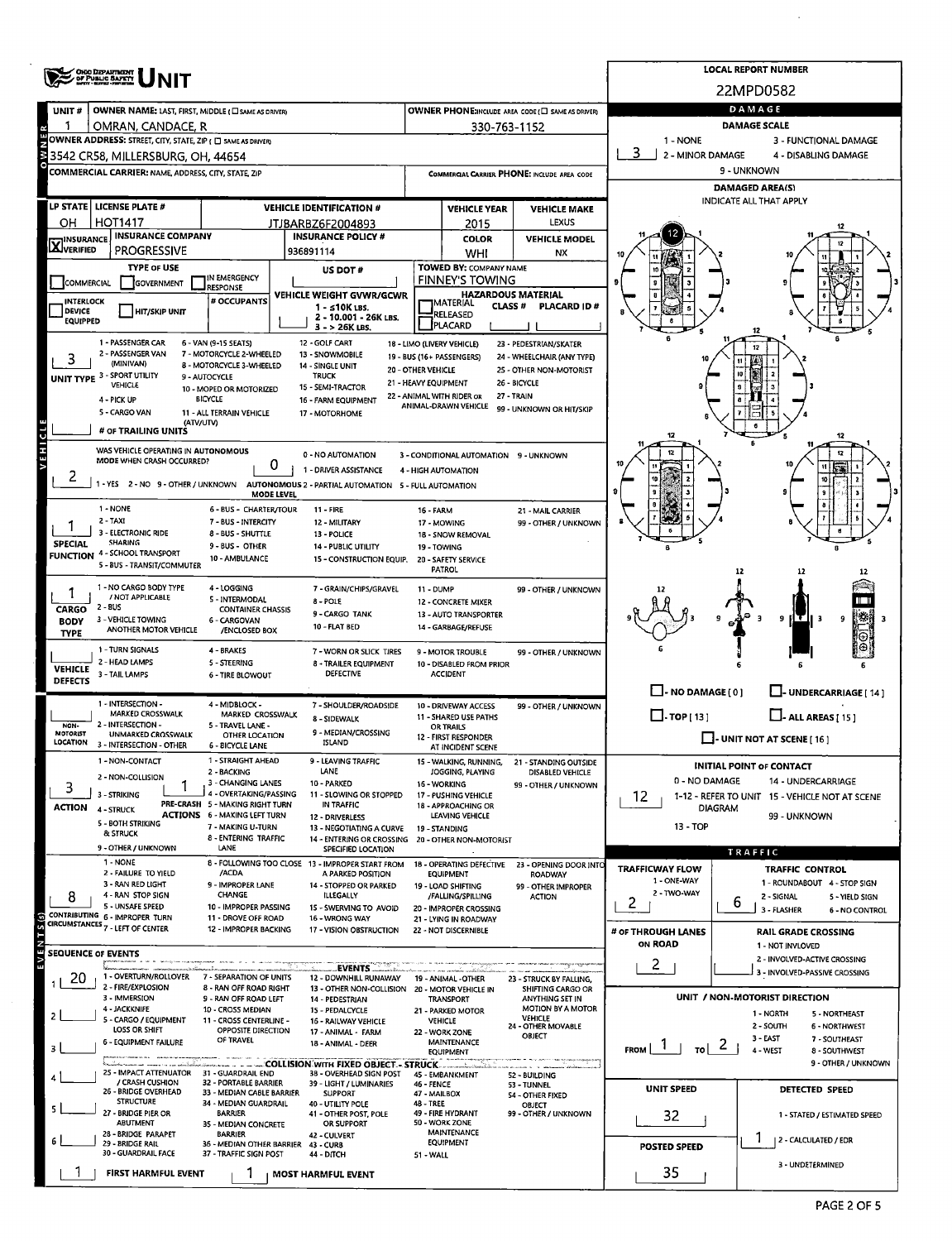|                                                                                                 | ONO DEPARTMENT                                                                                              |                                                          | <b>LOCAL REPORT NUMBER</b>                                                                                |                                  |                                                         |                                                      |                                                                                        |                                                             |  |  |  |  |  |  |
|-------------------------------------------------------------------------------------------------|-------------------------------------------------------------------------------------------------------------|----------------------------------------------------------|-----------------------------------------------------------------------------------------------------------|----------------------------------|---------------------------------------------------------|------------------------------------------------------|----------------------------------------------------------------------------------------|-------------------------------------------------------------|--|--|--|--|--|--|
|                                                                                                 |                                                                                                             |                                                          |                                                                                                           | 22MPD0582                        |                                                         |                                                      |                                                                                        |                                                             |  |  |  |  |  |  |
| UNIT#                                                                                           | OWNER NAME: LAST, FIRST, MIDDLE ( C SAME AS DRIVER)                                                         |                                                          |                                                                                                           |                                  |                                                         | OWNER PHONE:INCLUDE AREA CODE (CI SAME AS DRIVER)    | DAMAGE<br><b>DAMAGE SCALE</b>                                                          |                                                             |  |  |  |  |  |  |
|                                                                                                 | OMRAN, CANDACE, R<br>OWNER ADDRESS: STREET, CITY, STATE, ZIP ( O SAME AS DRIVER)                            |                                                          |                                                                                                           |                                  | 330-763-1152                                            |                                                      | 1 - NONE<br>3 - FUNCTIONAL DAMAGE                                                      |                                                             |  |  |  |  |  |  |
|                                                                                                 | 3542 CR58, MILLERSBURG, OH, 44654                                                                           |                                                          |                                                                                                           |                                  |                                                         |                                                      | 3<br>2 - MINOR DAMAGE                                                                  | 4 - DISABLING DAMAGE                                        |  |  |  |  |  |  |
|                                                                                                 | <b>COMMERCIAL CARRIER: NAME, ADDRESS, CITY, STATE, ZIP</b>                                                  |                                                          |                                                                                                           |                                  |                                                         | COMMERCIAL CARRIER PHONE: INCLUDE AREA CODE          | 9 - UNKNOWN                                                                            |                                                             |  |  |  |  |  |  |
|                                                                                                 |                                                                                                             |                                                          |                                                                                                           |                                  |                                                         |                                                      | <b>DAMAGED AREA(S)</b>                                                                 |                                                             |  |  |  |  |  |  |
|                                                                                                 | LP STATE   LICENSE PLATE #                                                                                  |                                                          | <b>VEHICLE IDENTIFICATION #</b>                                                                           |                                  | <b>VEHICLE YEAR</b>                                     | <b>VEHICLE MAKE</b>                                  |                                                                                        | INDICATE ALL THAT APPLY                                     |  |  |  |  |  |  |
| OН                                                                                              | <b>HOT1417</b>                                                                                              |                                                          | JTJBARBZ6F2004893                                                                                         |                                  | 2015                                                    | LEXUS                                                |                                                                                        |                                                             |  |  |  |  |  |  |
| <b>X</b> INSURANCE                                                                              | <b>INSURANCE COMPANY</b>                                                                                    |                                                          | <b>INSURANCE POLICY #</b>                                                                                 |                                  | <b>COLOR</b>                                            | <b>VEHICLE MODEL</b>                                 |                                                                                        |                                                             |  |  |  |  |  |  |
|                                                                                                 | <b>PROGRESSIVE</b><br><b>TYPE OF USE</b>                                                                    |                                                          | 936891114                                                                                                 |                                  | WHI<br>TOWED BY: COMPANY NAME                           | NX                                                   |                                                                                        |                                                             |  |  |  |  |  |  |
| COMMERCIAL                                                                                      | GOVERNMENT                                                                                                  | IN EMERGENCY<br><b>RESPONSE</b>                          | US DOT#                                                                                                   |                                  | <b>FINNEY'S TOWING</b>                                  |                                                      |                                                                                        |                                                             |  |  |  |  |  |  |
| VEHICLE WEIGHT GVWR/GCWR<br># OCCUPANTS<br><b>INTERLOCK</b>                                     |                                                                                                             |                                                          |                                                                                                           |                                  | <b>HAZARDOUS MATERIAL</b><br><b>MATERIAL</b>            |                                                      |                                                                                        |                                                             |  |  |  |  |  |  |
| <b>DEVICE</b><br><b>EQUIPPED</b>                                                                | <b>HIT/SKIP UNIT</b>                                                                                        |                                                          | $1 - s10K$ LBS.<br>2 - 10.001 - 26K LBS.                                                                  |                                  | <b>CLASS #</b><br>RELEASED                              | <b>PLACARD ID#</b>                                   |                                                                                        |                                                             |  |  |  |  |  |  |
|                                                                                                 |                                                                                                             |                                                          | $3 - 26K$ LBS.                                                                                            |                                  | PLACARD                                                 |                                                      |                                                                                        |                                                             |  |  |  |  |  |  |
|                                                                                                 | 1 - PASSENGER CAR<br>2 - PASSENGER VAN                                                                      | 6 - VAN (9-15 SEATS)<br>7 - MOTORCYCLE 2-WHEELED         | 12 - GOLF CART<br>13 - SNOWMOBILE                                                                         |                                  | 18 - LIMO (LIVERY VEHICLE)<br>19 - BUS (16+ PASSENGERS) | 23 - PEDESTRIAN/SKATER<br>24 - WHEELCHAIR (ANY TYPE) |                                                                                        | 12                                                          |  |  |  |  |  |  |
| 3                                                                                               | (MINIVAN)<br><b>UNIT TYPE 3 - SPORT UTILITY</b>                                                             | 8 - MOTORCYCLE 3-WHEELED<br>9 - AUTOCYCLE                | 14 - SINGLE UNIT<br><b>TRUCK</b>                                                                          | 20 - OTHER VEHICLE               |                                                         | 25 - OTHER NON-MOTORIST                              |                                                                                        |                                                             |  |  |  |  |  |  |
|                                                                                                 | VEHICLE                                                                                                     | 10 - MOPED OR MOTORIZED                                  | 21 - HEAVY EQUIPMENT<br>15 - SEMI-TRACTOR                                                                 | 26 - BICYCLE<br>27 - TRAIN       |                                                         |                                                      |                                                                                        |                                                             |  |  |  |  |  |  |
|                                                                                                 | 4 - PICK UP                                                                                                 | <b>BICYCLE</b>                                           | 16 - FARM EQUIPMENT                                                                                       |                                  | 22 - ANIMAL WITH RIDER OR<br>ANIMAL-DRAWN VEHICLE       | 99 - UNKNOWN OR HIT/SKIP                             |                                                                                        |                                                             |  |  |  |  |  |  |
| 5 - CARGO VAN<br>11 - ALL TERRAIN VEHICLE<br>17 - MOTORHOME<br>(ATV/UTV)<br># OF TRAILING UNITS |                                                                                                             |                                                          |                                                                                                           |                                  |                                                         |                                                      |                                                                                        |                                                             |  |  |  |  |  |  |
| EHICL                                                                                           |                                                                                                             |                                                          |                                                                                                           |                                  |                                                         |                                                      |                                                                                        |                                                             |  |  |  |  |  |  |
|                                                                                                 | WAS VEHICLE OPERATING IN AUTONOMOUS<br>MODE WHEN CRASH OCCURRED?                                            | 0                                                        | 0 - NO AUTOMATION                                                                                         |                                  | 3 - CONDITIONAL AUTOMATION 9 - UNKNOWN                  |                                                      |                                                                                        | 12<br>11                                                    |  |  |  |  |  |  |
| 2                                                                                               | $1 - YES$                                                                                                   |                                                          | 1 - DRIVER ASSISTANCE<br>2 - NO 9 - OTHER / UNKNOWN AUTONOMOUS 2 - PARTIAL AUTOMATION 5 - FULL AUTOMATION |                                  | 4 - HIGH AUTOMATION                                     |                                                      |                                                                                        | 10                                                          |  |  |  |  |  |  |
|                                                                                                 |                                                                                                             | <b>MODE LEVEL</b>                                        |                                                                                                           |                                  |                                                         |                                                      |                                                                                        |                                                             |  |  |  |  |  |  |
|                                                                                                 | 1 - NONE                                                                                                    | 6 - BUS - CHARTER/TOUR                                   | $11 - FIRE$                                                                                               | 16 - FARM                        |                                                         | 21 - MAIL CARRIER                                    |                                                                                        |                                                             |  |  |  |  |  |  |
|                                                                                                 | $2 - TAXI$<br>7 - BUS - INTERCITY<br>12 - MILITARY<br>3 - ELECTRONIC RIDE<br>8 - BUS - SHUTTLE<br>13 POLICE |                                                          |                                                                                                           |                                  | 17 - MOWING<br>18 - SNOW REMOVAL                        | 99 - OTHER / UNKNOWN                                 |                                                                                        |                                                             |  |  |  |  |  |  |
| <b>SPECIAL</b>                                                                                  | SHARING<br><b>FUNCTION 4 - SCHOOL TRANSPORT</b>                                                             | 9 - BUS - OTHER                                          | 14 - PUBLIC UTILITY                                                                                       | 19 - TOWING                      |                                                         |                                                      |                                                                                        |                                                             |  |  |  |  |  |  |
|                                                                                                 | 5 - BUS - TRANSIT/COMMUTER                                                                                  | 10 - AMBULANCE                                           | 15 - CONSTRUCTION EQUIP.                                                                                  |                                  | 20 - SAFETY SERVICE<br><b>PATROL</b>                    |                                                      |                                                                                        | 12<br>12                                                    |  |  |  |  |  |  |
|                                                                                                 | 1 - NO CARGO BODY TYPE                                                                                      | 4 - LOGGING                                              | 7 GRAIN/CHIPS/GRAVEL                                                                                      | 11 - DUMP                        |                                                         | 99 - OTHER / UNKNOWN                                 |                                                                                        |                                                             |  |  |  |  |  |  |
| CARGO                                                                                           | / NOT APPLICABLE<br>2 - BUS                                                                                 | 5 - INTERMODAL<br><b>CONTAINER CHASSIS</b>               | 8 - POLE                                                                                                  |                                  | 12 - CONCRETE MIXER                                     |                                                      |                                                                                        |                                                             |  |  |  |  |  |  |
| <b>BODY</b>                                                                                     | 3 - VEHICLE TOWING<br>ANOTHER MOTOR VEHICLE                                                                 | 6 - CARGOVAN                                             | 9 - CARGO TANK<br>10 - FLAT BED                                                                           |                                  | 13 - AUTO TRANSPORTER<br>14 - GARBAGE/REFUSE            |                                                      |                                                                                        | 9                                                           |  |  |  |  |  |  |
| <b>TYPE</b>                                                                                     |                                                                                                             | /ENCLOSED BOX                                            |                                                                                                           |                                  |                                                         |                                                      |                                                                                        |                                                             |  |  |  |  |  |  |
|                                                                                                 | 1 - TURN SIGNALS<br>2 - HEAD LAMPS                                                                          | 4 - BRAKES<br>5 - STEERING                               | 7 - WORN OR SLICK TIRES<br>8 - TRAILER EQUIPMENT                                                          |                                  | 9 - MOTOR TROUBLE<br>10 - DISABLED FROM PRIOR           | 99 - OTHER / UNKNOWN                                 |                                                                                        |                                                             |  |  |  |  |  |  |
| <b>VEHICLE</b><br><b>DEFECTS</b>                                                                | 3 - TAIL LAMPS                                                                                              | <b>6 - TIRE BLOWOUT</b>                                  | <b>DEFECTIVE</b>                                                                                          |                                  | <b>ACCIDENT</b>                                         |                                                      |                                                                                        |                                                             |  |  |  |  |  |  |
|                                                                                                 | 1 INTERSECTION -                                                                                            | 4 - MIDBLOCK -                                           | 7 - SHOULDER/ROADSIDE                                                                                     |                                  | 10 - DRIVEWAY ACCESS                                    |                                                      | $\Box$ - NO DAMAGE (0)                                                                 | U-UNDERCARRIAGE [14]                                        |  |  |  |  |  |  |
|                                                                                                 | MARKED CROSSWALK                                                                                            | MARKED CROSSWALK                                         | 8 - SIDEWALK                                                                                              |                                  | <b>11 - SHARED USE PATHS</b>                            | 99 - OTHER / UNKNOWN                                 | $\Box$ -TOP[13]                                                                        | $\Box$ - ALL AREAS [ 15 ]                                   |  |  |  |  |  |  |
| NON-<br><b>MOTORIST</b><br>LOCATION                                                             | 2 - INTERSECTION -<br>UNMARKED CROSSWALK                                                                    | 5 - TRAVEL LANE -<br><b>OTHER LOCATION</b>               | 9 - MEDIAN/CROSSING                                                                                       |                                  | OR TRAILS<br>12 - FIRST RESPONDER                       |                                                      |                                                                                        | $\Box$ - UNIT NOT AT SCENE [ 16 ]                           |  |  |  |  |  |  |
|                                                                                                 | 3 - INTERSECTION - OTHER                                                                                    | <b>6 - BICYCLE LANE</b>                                  | <b>ISLAND</b>                                                                                             |                                  | AT INCIDENT SCENE                                       |                                                      |                                                                                        |                                                             |  |  |  |  |  |  |
|                                                                                                 | 1 - NON-CONTACT<br>2 - NON-COLLISION                                                                        | 1 - STRAIGHT AHEAD<br>2 - BACKING                        | 9 - LEAVING TRAFFIC<br>LANE                                                                               |                                  | 15 - WALKING, RUNNING,<br>JOGGING, PLAYING              | 21 - STANDING OUTSIDE<br>DISABLED VEHICLE            |                                                                                        | <b>INITIAL POINT OF CONTACT</b>                             |  |  |  |  |  |  |
| 3                                                                                               | 3 - STRIKING                                                                                                | 3 - CHANGING LANES<br>4 - OVERTAKING/PASSING             | 10 - PARKED<br>11 - SLOWING OR STOPPED                                                                    |                                  | 16 - WORKING<br>17 - PUSHING VEHICLE                    | 99 - OTHER / UNKNOWN                                 | 0 - NO DAMAGE                                                                          | 14 - UNDERCARRIAGE                                          |  |  |  |  |  |  |
| <b>ACTION</b>                                                                                   | 4 - STRUCK                                                                                                  | PRE-CRASH 5 - MAKING RIGHT TURN                          | IN TRAFFIC                                                                                                |                                  | 18 - APPROACHING OR                                     |                                                      | 12<br>1-12 - REFER TO UNIT 15 - VEHICLE NOT AT SCENE<br><b>DIAGRAM</b><br>99 - UNKNOWN |                                                             |  |  |  |  |  |  |
|                                                                                                 | 5 - BOTH STRIKING                                                                                           | <b>ACTIONS 6 - MAKING LEFT TURN</b><br>7 - MAKING U-TURN | 12 - DRIVERLESS<br>13 - NEGOTIATING A CURVE                                                               |                                  | LEAVING VEHICLE<br>19 - STANDING                        |                                                      | 13 - TOP                                                                               |                                                             |  |  |  |  |  |  |
|                                                                                                 | & STRUCK<br>9 - OTHER / UNKNOWN                                                                             | 8 - ENTERING TRAFFIC<br>LANE                             | 14 - ENTERING OR CROSSING<br>SPECIFIED LOCATION                                                           |                                  | 20 - OTHER NON-MOTORIST                                 |                                                      |                                                                                        |                                                             |  |  |  |  |  |  |
|                                                                                                 | 1 - NONE                                                                                                    |                                                          | 8 - FOLLOWING TOO CLOSE 13 - IMPROPER START FROM                                                          |                                  | 18 - OPERATING DEFECTIVE                                | 23 - OPENING DOOR INTO                               | <b>TRAFFICWAY FLOW</b>                                                                 | TRAFFIC<br><b>TRAFFIC CONTROL</b>                           |  |  |  |  |  |  |
|                                                                                                 | 2 - FAILURE TO YIELD<br>3 - RAN RED LIGHT                                                                   | /ACDA<br>9 - IMPROPER LANE                               | A PARKED POSITION<br>14 - STOPPED OR PARKED                                                               |                                  | <b>EQUIPMENT</b><br>19 - LOAD SHIFTING                  | <b>ROADWAY</b><br>99 - OTHER IMPROPER                | 1 - ONE-WAY                                                                            | 1 - ROUNDABOUT 4 - STOP SIGN                                |  |  |  |  |  |  |
| 8                                                                                               | 4 - RAN STOP SIGN                                                                                           | <b>CHANGE</b>                                            | <b>ILLEGALLY</b>                                                                                          |                                  | /FALLING/SPILLING                                       | <b>ACTION</b>                                        | 2 - TWO-WAY<br>2.                                                                      | 2 - SIGNAL<br>5 - YIELD SIGN<br>6                           |  |  |  |  |  |  |
|                                                                                                 | 5 - UNSAFE SPEED<br>CONTRIBUTING 6 - IMPROPER TURN                                                          | 10 - IMPROPER PASSING<br>11 - DROVE OFF ROAD             | 15 - SWERVING TO AVOID<br>16 - WRONG WAY                                                                  |                                  | 20 - IMPROPER CROSSING<br>21 - LYING IN ROADWAY         |                                                      |                                                                                        | 3 - FLASHER<br>6 - NO CONTROL                               |  |  |  |  |  |  |
|                                                                                                 | CIRCUMSTANCES 7 - LEFT OF CENTER                                                                            | 12 - IMPROPER BACKING                                    | 17 - VISION OBSTRUCTION                                                                                   |                                  | 22 - NOT DISCERNIBLE                                    |                                                      | # or THROUGH LANES                                                                     | <b>RAIL GRADE CROSSING</b>                                  |  |  |  |  |  |  |
| <b>SEQUENCE OF EVENTS</b>                                                                       |                                                                                                             |                                                          |                                                                                                           |                                  |                                                         |                                                      | <b>ON ROAD</b>                                                                         | 1 - NOT INVLOVED<br>2 - INVOLVED-ACTIVE CROSSING            |  |  |  |  |  |  |
|                                                                                                 | 1 - OVERTURN/ROLLOVER                                                                                       | 7 - SEPARATION OF UNITS                                  | <b>EVENTS</b>                                                                                             |                                  |                                                         |                                                      | $\mathbf{2}$                                                                           | 3 - INVOLVED-PASSIVE CROSSING                               |  |  |  |  |  |  |
| 20                                                                                              | 2 - FIRE/EXPLOSION                                                                                          | 8 - RAN OFF ROAD RIGHT                                   | 12 - DOWNHILL RUNAWAY<br>13 - OTHER NON-COLLISION                                                         |                                  | 19 - ANIMAL -OTHER<br>20 - MOTOR VEHICLE IN             | 23 - STRUCK BY FALLING,<br>SHIFTING CARGO OR         |                                                                                        |                                                             |  |  |  |  |  |  |
|                                                                                                 | 3 - IMMERSION<br>4 - JACKKNIFE                                                                              | 9 - RAN OFF ROAD LEFT<br>10 - CROSS MEDIAN               | 14 - PEDESTRIAN<br>15 - PEDALCYCLE                                                                        |                                  | <b>TRANSPORT</b><br>21 - PARKED MOTOR                   | ANYTHING SET IN<br><b>MOTION BY A MOTOR</b>          |                                                                                        | UNIT / NON-MOTORIST DIRECTION<br>1 - NORTH<br>5 - NORTHEAST |  |  |  |  |  |  |
|                                                                                                 | 5 - CARGO / EQUIPMENT<br>LOSS OR SHIFT                                                                      | 11 - CROSS CENTERLINE -<br>OPPOSITE DIRECTION            | 16 - RAILWAY VEHICLE                                                                                      |                                  | <b>VEHICLE</b>                                          | <b>VEHICLE</b><br>24 - OTHER MOVABLE                 |                                                                                        | 2 - SOUTH<br><b>6 - NORTHWEST</b>                           |  |  |  |  |  |  |
| з                                                                                               | 6 - EQUIPMENT FAILURE                                                                                       | OF TRAVEL                                                | 17 - ANIMAL - FARM<br>18 - ANIMAL - DEER                                                                  |                                  | 22 - WORK ZONE<br><b>MAINTENANCE</b>                    | OBJECT                                               | $_{\text{tol}}$ 2<br><b>FROM</b>                                                       | 3 - EAST<br>7 - SOUTHEAST                                   |  |  |  |  |  |  |
|                                                                                                 |                                                                                                             |                                                          |                                                                                                           |                                  | <b>EQUIPMENT</b>                                        |                                                      |                                                                                        | 4 - WEST<br>8 - SOUTHWEST<br>9 - OTHER / UNKNOWN            |  |  |  |  |  |  |
|                                                                                                 | 25 - IMPACT ATTENUATOR 31 - GUARDRAIL END<br>/ CRASH CUSHION                                                | 32 - PORTABLE BARRIER                                    | 38 - OVERHEAD SIGN POST<br>39 - LIGHT / LUMINARIES                                                        | 46 - FENCE                       | 45 - EMBANKMENT                                         | 52 - BUILDING<br><b>S3 - TUNNEL</b>                  |                                                                                        |                                                             |  |  |  |  |  |  |
|                                                                                                 | 26 - BRIDGE OVERHEAD<br><b>STRUCTURE</b>                                                                    | 33 - MEDIAN CABLE BARRIER<br>34 - MEDIAN GUARDRAIL       | <b>SUPPORT</b>                                                                                            | 47 - MAILBOX<br><b>48 - TREE</b> |                                                         | 54 - OTHER FIXED                                     | <b>UNIT SPEED</b>                                                                      | DETECTED SPEED                                              |  |  |  |  |  |  |
|                                                                                                 | 27 - BRIDGE PIER OR                                                                                         | <b>BARRIER</b>                                           | 40 - UTILITY POLE<br>41 - OTHER POST, POLE                                                                |                                  | 49 - FIRE HYDRANT<br>50 - WORK ZONE                     | OBJECT<br>99 - OTHER / UNKNOWN                       | 32                                                                                     | 1 - STATED / ESTIMATED SPEED                                |  |  |  |  |  |  |
|                                                                                                 | ABUTMENT<br>OR SUPPORT<br>35 - MEDIAN CONCRETE<br>28 - BRIDGE PARAPET<br><b>BARRIER</b><br>42 - CULVERT     |                                                          |                                                                                                           |                                  |                                                         |                                                      |                                                                                        |                                                             |  |  |  |  |  |  |
|                                                                                                 | 29 - BRIDGE RAIL<br>30 - GUARDRAIL FACE                                                                     | 36 - MEDIAN OTHER BARRIER<br>37 - TRAFFIC SIGN POST      | 43 - CURB<br>44 - DITCH                                                                                   | 51 WALL                          | <b>EQUIPMENT</b>                                        |                                                      | <b>POSTED SPEED</b>                                                                    | 2 - CALCULATED / EDR                                        |  |  |  |  |  |  |
|                                                                                                 | <b>FIRST HARMFUL EVENT</b>                                                                                  |                                                          | MOST HARMFUL EVENT                                                                                        |                                  |                                                         |                                                      | 35                                                                                     | 3 - UNDETERMINED                                            |  |  |  |  |  |  |
|                                                                                                 |                                                                                                             |                                                          |                                                                                                           |                                  |                                                         |                                                      |                                                                                        |                                                             |  |  |  |  |  |  |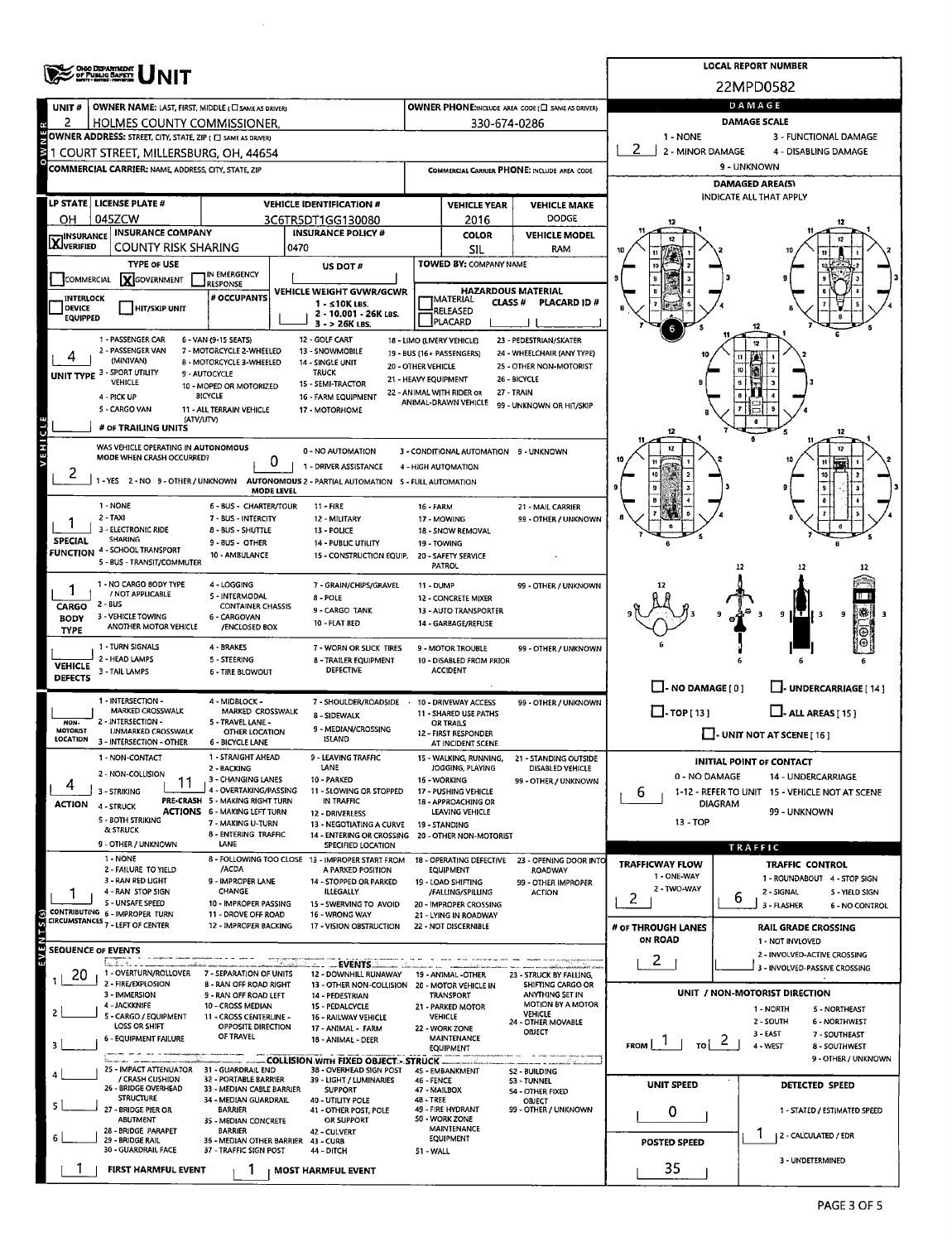|                                                                                                                                             | OHO DEPARTMENT<br>OF PUBLIC BAFETY                                 |                                                           | <b>LOCAL REPORT NUMBER</b>                                                               |                                                      |                                                   |                                                       |                                      |                                                                    |  |  |  |
|---------------------------------------------------------------------------------------------------------------------------------------------|--------------------------------------------------------------------|-----------------------------------------------------------|------------------------------------------------------------------------------------------|------------------------------------------------------|---------------------------------------------------|-------------------------------------------------------|--------------------------------------|--------------------------------------------------------------------|--|--|--|
|                                                                                                                                             |                                                                    |                                                           | 22MPD0582                                                                                |                                                      |                                                   |                                                       |                                      |                                                                    |  |  |  |
| UNIT#                                                                                                                                       | OWNER NAME: LAST, FIRST, MIDDLE ( C SAME AS DRIVER)                |                                                           | OWNER PHONE:INCLUDE AREA CODE (C SAME AS DRIVER)                                         | DAMAGE                                               |                                                   |                                                       |                                      |                                                                    |  |  |  |
| 2                                                                                                                                           | HOLMES COUNTY COMMISSIONER.                                        |                                                           | 330-674-0286                                                                             | <b>DAMAGE SCALE</b>                                  |                                                   |                                                       |                                      |                                                                    |  |  |  |
| OWNER ADDRESS: STREET, CITY, STATE, ZIP ( O SAME AS DRIVER)<br>1 - NONE<br>3 - FUNCTIONAL DAMAGE                                            |                                                                    |                                                           |                                                                                          |                                                      |                                                   |                                                       |                                      |                                                                    |  |  |  |
| $\geq$<br>2 - MINOR DAMAGE<br>4 - DISABLING DAMAGE<br>1 COURT STREET, MILLERSBURG, OH, 44654<br>COMMERCIAL CARRIER PHONE: INCLUDE AREA CODE |                                                                    |                                                           |                                                                                          |                                                      |                                                   |                                                       |                                      |                                                                    |  |  |  |
|                                                                                                                                             | COMMERCIAL CARRIER: NAME, ADDRESS, CITY, STATE, ZIP                |                                                           | 9 - UNKNOWN                                                                              |                                                      |                                                   |                                                       |                                      |                                                                    |  |  |  |
|                                                                                                                                             |                                                                    |                                                           |                                                                                          | <b>DAMAGED AREA(S)</b><br>INDICATE ALL THAT APPLY    |                                                   |                                                       |                                      |                                                                    |  |  |  |
|                                                                                                                                             | LP STATE   LICENSE PLATE #                                         |                                                           | <b>VEHICLE IDENTIFICATION #</b>                                                          | <b>VEHICLE YEAR</b><br><b>VEHICLE MAKE</b>           |                                                   |                                                       |                                      |                                                                    |  |  |  |
| он                                                                                                                                          | 045ZCW                                                             |                                                           | 3C6TR5DT1GG130080                                                                        |                                                      | 2016                                              | <b>DODGE</b>                                          |                                      |                                                                    |  |  |  |
| <b>X</b> INSURANCE                                                                                                                          | <b>INSURANCE COMPANY</b><br>COUNTY RISK SHARING                    |                                                           | <b>INSURANCE POLICY #</b><br>0470                                                        |                                                      | <b>COLOR</b><br>SIL                               | <b>VEHICLE MODEL</b><br><b>RAM</b>                    |                                      |                                                                    |  |  |  |
|                                                                                                                                             | <b>TYPE OF USE</b>                                                 |                                                           | US DOT#                                                                                  |                                                      | TOWED BY: COMPANY NAME                            |                                                       |                                      |                                                                    |  |  |  |
| COMMERCIAL                                                                                                                                  | <b>Y</b> GOVERNMENT                                                | IN EMERGENCY<br><b>RESPONSE</b>                           |                                                                                          |                                                      |                                                   |                                                       |                                      |                                                                    |  |  |  |
| <b>INTERLOCK</b>                                                                                                                            |                                                                    | # OCCUPANTS                                               | VEHICLE WEIGHT GVWR/GCWR                                                                 |                                                      | MATERIAL                                          | <b>HAZARDOUS MATERIAL</b>                             |                                      |                                                                    |  |  |  |
| <b>DEVICE</b><br><b>EQUIPPED</b>                                                                                                            | <b>HIT/SKIP UNIT</b>                                               |                                                           | 1 - ≤10K LBS.<br>2 - 10.001 - 26K LBS.                                                   | CLASS #<br><b>PLACARD ID#</b><br>RELEASED<br>PLACARD |                                                   |                                                       |                                      |                                                                    |  |  |  |
|                                                                                                                                             |                                                                    |                                                           |                                                                                          |                                                      |                                                   |                                                       |                                      |                                                                    |  |  |  |
|                                                                                                                                             | 1 - PASSENGER CAR<br>2 - PASSENGER VAN                             | 6 - VAN (9-15 SEATS)<br>7 - MOTORCYCLE 2-WHEELED          | 12 - GOLF CART<br>13 - SNOWMOBILE                                                        |                                                      | 18 - LIMO (LIVERY VEHICLE)                        | 23 - PEDESTRIAN/SKATER                                |                                      | 12                                                                 |  |  |  |
|                                                                                                                                             | (MINIVAN)                                                          | 8 - MOTORCYCLE 3-WHEELED                                  | 14 - SINGLE UNIT                                                                         | 20 - OTHER VEHICLE                                   | 19 - BUS (16+ PASSENGERS)                         | 24 - WHEELCHAIR (ANY TYPE)<br>25 - OTHER NON-MOTORIST |                                      |                                                                    |  |  |  |
|                                                                                                                                             | UNIT TYPE 3 - SPORT UTILITY<br><b>VEHICLE</b>                      | 9 - AUTOCYCLE<br>10 - MOPED OR MOTORIZED                  | <b>TRUCK</b><br>15 - SEMI-TRACTOR                                                        | 21 - HEAVY EQUIPMENT                                 |                                                   | 26 - BICYCLE                                          |                                      |                                                                    |  |  |  |
|                                                                                                                                             | 4 - PICK UP                                                        | <b>BICYCLE</b>                                            | 16 - FARM EQUIPMENT                                                                      |                                                      | 22 - ANIMAL WITH RIDER OR<br>ANIMAL-DRAWN VEHICLE | 27 - TRAIN                                            |                                      |                                                                    |  |  |  |
|                                                                                                                                             | 5 - CARGO VAN<br>(ATV/UTV)                                         | 11 - ALL TERRAIN VEHICLE                                  | 17 - MOTORHOME                                                                           |                                                      |                                                   | 99 - UNKNOWN OR HIT/SKIP                              |                                      |                                                                    |  |  |  |
| J                                                                                                                                           | # OF TRAILING UNITS                                                |                                                           |                                                                                          |                                                      |                                                   |                                                       |                                      |                                                                    |  |  |  |
| I H E                                                                                                                                       | WAS VEHICLE OPERATING IN AUTONOMOUS                                |                                                           | 0 - NO AUTOMATION                                                                        |                                                      | 3 - CONDITIONAL AUTOMATION 9 - UNKNOWN            |                                                       |                                      | 12                                                                 |  |  |  |
|                                                                                                                                             | MODE WHEN CRASH OCCURRED?                                          | 0                                                         | 1 - DRIVER ASSISTANCE                                                                    |                                                      | 4 - HIGH AUTOMATION                               |                                                       |                                      |                                                                    |  |  |  |
| 2                                                                                                                                           |                                                                    |                                                           | 1 - YES 2 - NO 9 - OTHER / UNKNOWN AUTONOMOUS 2 - PARTIAL AUTOMATION 5 - FULL AUTOMATION |                                                      |                                                   |                                                       |                                      |                                                                    |  |  |  |
|                                                                                                                                             |                                                                    | <b>MODE LEVEL</b>                                         |                                                                                          |                                                      |                                                   |                                                       |                                      |                                                                    |  |  |  |
|                                                                                                                                             | 1 - NONE<br>$2 - TAXI$                                             | 6 - BUS - CHARTER/TOUR<br>7 - BUS - INTERCITY             | 11 - FIRE<br>12 - MILITARY                                                               | 16 - FARM                                            | 17 - MOWING                                       | 21 - MAIL CARRIER<br>99 - OTHER / UNKNOWN             |                                      |                                                                    |  |  |  |
|                                                                                                                                             | 3 - ELECTRONIC RIDE                                                | 8 - BUS - SHUTTLE                                         | 13 - POLICE                                                                              |                                                      | 18 - SNOW REMOVAL                                 |                                                       |                                      |                                                                    |  |  |  |
| SPECIAL                                                                                                                                     | SHARING<br><b>FUNCTION 4 - SCHOOL TRANSPORT</b>                    | 9 - BUS - OTHER                                           | 14 - PUBLIC UTILITY                                                                      |                                                      | 19 - TOWING                                       |                                                       |                                      |                                                                    |  |  |  |
|                                                                                                                                             | 5 - BUS - TRANSIT/COMMUTER                                         | 10 - AMBULANCE                                            | 15 - CONSTRUCTION EQUIP. 20 - SAFETY SERVICE                                             |                                                      | <b>PATROL</b>                                     |                                                       |                                      | 12                                                                 |  |  |  |
|                                                                                                                                             | 1 - NO CARGO BODY TYPE                                             | 4 - LOGGING                                               | 7 - GRAIN/CHIPS/GRAVEL                                                                   | 11 - DUMP                                            |                                                   | 99 - OTHER / UNKNOWN                                  |                                      |                                                                    |  |  |  |
| 1                                                                                                                                           | / NOT APPLICABLE                                                   | 5 - INTERMODAL                                            | 8 - POLE                                                                                 |                                                      | 12 - CONCRETE MIXER                               |                                                       |                                      |                                                                    |  |  |  |
| CARGO<br><b>BODY</b>                                                                                                                        | 2 - BUS<br>3 - VEHICLE TOWING                                      | <b>CONTAINER CHASSIS</b><br>6 - CARGOVAN                  | 9 - CARGO TANK                                                                           |                                                      | 13 - AUTO TRANSPORTER                             |                                                       |                                      | 9<br>q<br>11 T                                                     |  |  |  |
| <b>TYPE</b>                                                                                                                                 | ANOTHER MOTOR VEHICLE                                              | /ENCLOSED BOX                                             | 10 - FLAT BED                                                                            |                                                      | 14 - GARBAGE/REFUSE                               |                                                       |                                      |                                                                    |  |  |  |
|                                                                                                                                             | 1 - TURN SIGNALS                                                   | 4 - BRAKES                                                | 7 - WORN OR SLICK TIRES                                                                  |                                                      | 9 - MOTOR TROUBLE                                 | 99 - OTHER / UNKNOWN                                  |                                      |                                                                    |  |  |  |
| <b>VEHICLE</b>                                                                                                                              | 2 - HEAD LAMPS<br>3 - TAIL LAMPS                                   | 5 - STEERING<br><b>6 - TIRE BLOWOUT</b>                   | <b>8 - TRAILER EQUIPMENT</b><br><b>DEFECTIVE</b>                                         |                                                      | 10 - DISABLED FROM PRIOR<br><b>ACCIDENT</b>       |                                                       |                                      |                                                                    |  |  |  |
| <b>DEFECTS</b>                                                                                                                              |                                                                    |                                                           |                                                                                          |                                                      |                                                   |                                                       | $\Box$ - NO DAMAGE [ 0 ]             | U-UNDERCARRIAGE [14]                                               |  |  |  |
|                                                                                                                                             | 1 - INTERSECTION -                                                 | 4 - MIDBLOCK -                                            | 7 - SHOULDER/ROADSIDE                                                                    |                                                      | 10 - DRIVEWAY ACCESS                              | 99 - OTHER / UNKNOWN                                  |                                      |                                                                    |  |  |  |
| NON-                                                                                                                                        | MARKED CROSSWALK<br>2 - INTERSECTION -                             | MARKED CROSSWALK<br>5 - TRAVEL LANE -                     | 8 - SIDEWALK                                                                             |                                                      | 11 - SHARED USE PATHS                             |                                                       | $\Box$ -TOP[13]                      | $\Box$ - ALL AREAS [ 15 ]                                          |  |  |  |
| <b>MOTORIST</b><br><b>LOCATION</b>                                                                                                          | <b>UNMARKED CROSSWALK</b>                                          | OTHER LOCATION                                            | 9 - MEDIAN/CROSSING<br><b>ISLAND</b>                                                     |                                                      | OR TRAILS<br>12 - FIRST RESPONDER                 |                                                       |                                      | $\Box$ - UNIT NOT AT SCENE [ 16 ]                                  |  |  |  |
|                                                                                                                                             | 3 - INTERSECTION - OTHER                                           | 6 - BICYCLE LANE                                          |                                                                                          |                                                      | AT INCIDENT SCENE                                 |                                                       |                                      |                                                                    |  |  |  |
|                                                                                                                                             | 1 - NON-CONTACT                                                    | 1 - STRAIGHT AHEAD<br>2 - BACKING                         | 9 - LEAVING TRAFFIC<br><b>LANE</b>                                                       |                                                      | 15 - WALKING, RUNNING,<br>JOGGING, PLAYING        | 21 - STANDING OUTSIDE<br><b>DISABLED VEHICLE</b>      |                                      | <b>INITIAL POINT OF CONTACT</b>                                    |  |  |  |
|                                                                                                                                             | 2 - NON-COLLISION                                                  | 3 - CHANGING LANES<br>4 - OVERTAKING/PASSING              | 10 - PARKED                                                                              |                                                      | 16 - WORKING                                      | 99 - OTHER / UNKNOWN                                  | 0 - NO DAMAGE                        | 14 - UNDERCARRIAGE                                                 |  |  |  |
| <b>ACTION</b>                                                                                                                               | 3 - STRIKING<br>4 - STRUCK                                         | PRE-CRASH 5 - MAKING RIGHT TURN                           | 11 - SLOWING OR STOPPED<br>IN TRAFFIC                                                    |                                                      | 17 - PUSHING VEHICLE<br>18 - APPROACHING OR       |                                                       | 6                                    | 1-12 - REFER TO UNIT 15 - VEHICLE NOT AT SCENE<br><b>DIAGRAM</b>   |  |  |  |
|                                                                                                                                             | 5 - BOTH STRIKING                                                  | <b>ACTIONS 6 - MAKING LEFT TURN</b><br>7 - MAKING U-TURN  | <b>12 - DRIVERLESS</b>                                                                   |                                                      | LEAVING VEHICLE                                   |                                                       | $13 - TOP$                           | 99 - UNKNOWN                                                       |  |  |  |
|                                                                                                                                             | <b>&amp; STRUCK</b>                                                | 8 - ENTERING TRAFFIC                                      | 13 - NEGOTIATING A CURVE<br>14 - ENTERING OR CROSSING 20 - OTHER NON-MOTORIST            |                                                      | 19 - STANDING                                     |                                                       |                                      |                                                                    |  |  |  |
|                                                                                                                                             | 9 - OTHER / UNKNOWN                                                | LANE                                                      | SPECIFIED LOCATION                                                                       |                                                      |                                                   |                                                       |                                      | <b>TRAFFIC</b>                                                     |  |  |  |
|                                                                                                                                             | 1 - NONE<br>2 - FAILURE TO YIELD                                   | /ACDA                                                     | 8 - FOLLOWING TOO CLOSE 13 - IMPROPER START FROM<br>A PARKED POSITION                    |                                                      | 18 - OPERATING DEFECTIVE<br><b>EQUIPMENT</b>      | 23 - OPENING DOOR INTO<br><b>ROADWAY</b>              | <b>TRAFFICWAY FLOW</b>               | <b>TRAFFIC CONTROL</b>                                             |  |  |  |
|                                                                                                                                             | 3 - RAN RED LIGHT                                                  | 9 - IMPROPER LANE<br>CHANGE                               | 14 - STOPPED OR PARKED                                                                   |                                                      | 19 - LOAD SHIFTING                                | 99 - OTHER IMPROPER                                   | 1 - ONE-WAY<br>2 - TWO-WAY           | 1 - ROUNDABOUT 4 - STOP SIGN                                       |  |  |  |
|                                                                                                                                             | 4 - RAN STOP SIGN<br>5 - UNSAFE SPEED                              | 10 - IMPROPER PASSING                                     | <b>ILLEGALLY</b><br>15 - SWERVING TO AVOID                                               |                                                      | /FALLING/SPILLING<br>20 - IMPROPER CROSSING       | ACTION                                                | 2                                    | 2 - SIGNAL<br>5 - YIELD SIGN<br>6<br>3 - FLASHER<br>6 - NO CONTROL |  |  |  |
|                                                                                                                                             | CONTRIBUTING 6 - IMPROPER TURN<br>CIRCUMSTANCES 7 - LEFT OF CENTER | 11 - DROVE OFF ROAD                                       | 16 - WRONG WAY                                                                           |                                                      | 21 - LYING IN ROADWAY                             |                                                       |                                      |                                                                    |  |  |  |
|                                                                                                                                             |                                                                    | 12 - IMPROPER BACKING                                     | 17 - VISION OBSTRUCTION                                                                  |                                                      | 22 - NOT DISCERNIBLE                              |                                                       | # OF THROUGH LANES<br><b>ON ROAD</b> | <b>RAIL GRADE CROSSING</b><br>1 - NOT INVLOVED                     |  |  |  |
|                                                                                                                                             | <b>SEQUENCE OF EVENTS</b>                                          |                                                           |                                                                                          |                                                      |                                                   |                                                       |                                      | 2 - INVOLVED-ACTIVE CROSSING                                       |  |  |  |
| 20                                                                                                                                          | 12 L. L. .<br>1 - OVERTURN/ROLLOVER                                | 7 - SEPARATION OF UNITS                                   | . _EVENTS.<br>12 - DOWNHILL RUNAWAY                                                      |                                                      | 19 - ANIMAL - OTHER                               | 23 - STRUCK BY FALLING,                               | 2                                    | 3 - INVOLVED-PASSIVE CROSSING                                      |  |  |  |
|                                                                                                                                             | 2 - FIRE/EXPLOSION                                                 | 8 - RAN OFF ROAD RIGHT                                    | 13 - OTHER NON-COLLISION 20 - MOTOR VEHICLE IN                                           |                                                      |                                                   | SHIFTING CARGO OR                                     |                                      |                                                                    |  |  |  |
|                                                                                                                                             | 3 - IMMERSION<br>4 - JACKKNIFE                                     | 9 - RAN OFF ROAD LEFT<br>10 - CROSS MEDIAN                | 14 - PEDESTRIAN<br>15 - PEDALCYCLE                                                       |                                                      | <b>TRANSPORT</b><br>21 - PARKED MOTOR             | ANYTHING SET IN<br><b>MOTION BY A MOTOR</b>           |                                      | UNIT / NON-MOTORIST DIRECTION                                      |  |  |  |
| $\overline{2}$                                                                                                                              | 5 - CARGO / EQUIPMENT                                              | 11 - CROSS CENTERLINE -                                   | 16 - RAILWAY VEHICLE                                                                     |                                                      | VEHICLE                                           | <b>VEHICLE</b><br>24 - OTHER MOVABLE                  |                                      | 1 - NORTH<br>5 - NORTHEAST<br>2 - SOUTH<br>6 - NORTHWEST           |  |  |  |
|                                                                                                                                             | LOSS OR SHIFT<br><b>6 - EQUIPMENT FAILURE</b>                      | OPPOSITE DIRECTION<br>OF TRAVEL                           | 17 - ANIMAL - FARM<br>18 - ANIMAL - DEER                                                 |                                                      | 22 - WORK ZONE<br>MAINTENANCE                     | OBJECT                                                |                                      | 3 - EAST<br>7 - SOUTHEAST<br>-2                                    |  |  |  |
| 3                                                                                                                                           |                                                                    |                                                           |                                                                                          |                                                      | <b>EQUIPMENT</b>                                  |                                                       | <b>FROM</b><br>TO                    | 4 - WEST<br>8 - SOUTHWEST                                          |  |  |  |
|                                                                                                                                             | 25 - IMPACT ATTENUATOR 31 - GUARDRAIL END                          |                                                           | <b>COLLISION WITH FIXED OBJECT - STRUCK</b><br>38 - OVERHEAD SIGN POST                   |                                                      | 45 - EMBANKMENT                                   | 52 - BUILDING                                         |                                      | 9 - OTHER / UNKNOWN                                                |  |  |  |
|                                                                                                                                             | / CRASH CUSHION<br>26 - BRIDGE OVERHEAD                            | <b>32 - PORTABLE BARRIER</b><br>33 - MEDIAN CABLE BARRIER | 39 - LIGHT / LUMINARIES<br><b>SUPPORT</b>                                                | 46 - FENCE                                           | 47 - MAILBOX                                      | 53 - TUNNEL<br><b>54 - OTHER FIXED</b>                | <b>UNIT SPEED</b>                    | DETECTED SPEED                                                     |  |  |  |
|                                                                                                                                             | <b>STRUCTURE</b>                                                   | 34 - MEDIAN GUARDRAIL                                     | 40 - UTILITY POLE                                                                        | 48 - TREE                                            | 49 - FIRE HYDRANT                                 |                                                       |                                      |                                                                    |  |  |  |
|                                                                                                                                             | 27 - BRIDGE PIER OR<br>ABUTMENT                                    | <b>BARRIER</b><br>35 - MEDIAN CONCRETE                    | 41 - OTHER POST, POLE<br>OR SUPPORT                                                      |                                                      | 50 - WORK ZONE                                    | 99 - OTHER / UNKNOWN                                  | 1 - STATED / ESTIMATED SPEED<br>0    |                                                                    |  |  |  |
| 6                                                                                                                                           | 28 - BRIDGE PARAPET<br>29 - BRIDGE RAIL                            | <b>BARRIER</b><br>36 - MEDIAN OTHER BARRIER 43 - CURB     | 42 - CULVERT                                                                             |                                                      | MAINTENANCE<br><b>EQUIPMENT</b>                   |                                                       |                                      | 2 - CALCULATED / EDR                                               |  |  |  |
|                                                                                                                                             | <b>30 - GUARDRAIL FACE</b>                                         | 37 - TRAFFIC SIGN POST                                    |                                                                                          | <b>POSTED SPEED</b>                                  |                                                   |                                                       |                                      |                                                                    |  |  |  |
|                                                                                                                                             | <b>FIRST HARMFUL EVENT</b>                                         |                                                           | <b>MOST HARMFUL EVENT</b>                                                                |                                                      |                                                   |                                                       | 35                                   | 3 - UNDETERMINED                                                   |  |  |  |
|                                                                                                                                             |                                                                    |                                                           |                                                                                          |                                                      |                                                   |                                                       |                                      |                                                                    |  |  |  |

 $\hat{A}$